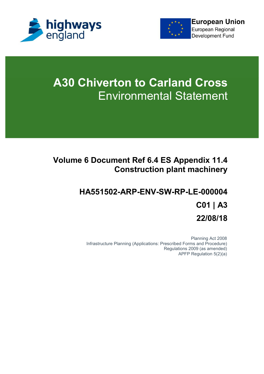



# **A30 Chiverton to Carland Cross** Environmental Statement

#### **Volume 6 Document Ref 6.4 ES Appendix 11.4 Construction plant machinery**

## **HA551502-ARP-ENV-SW-RP-LE-000004 C01 | A3 22/08/18**

Planning Act 2008 Infrastructure Planning (Applications: Prescribed Forms and Procedure) Regulations 2009 (as amended) APFP Regulation 5(2)(a)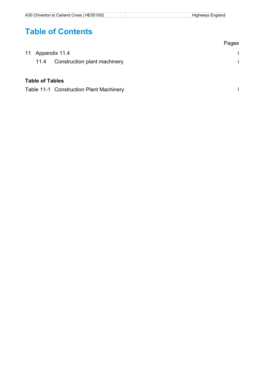### **Table of Contents**

|                        |                              | Pages |
|------------------------|------------------------------|-------|
|                        | 11 Appendix 11.4             |       |
| 11.4                   | Construction plant machinery |       |
|                        |                              |       |
| <b>Table of Tables</b> |                              |       |

Table 11-1 Construction Plant Machinery **implementary in the Construction Plant** Machinery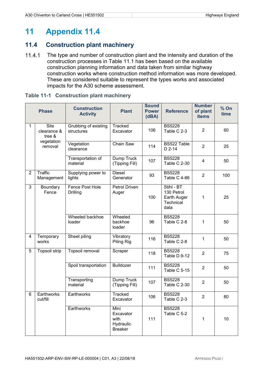### **11 Appendix 11.4**

#### **11.4 Construction plant machinery**

11.4.1 The type and number of construction plant and the intensity and duration of the construction processes in Table 11.1 has been based on the available construction planning information and data taken from similar highway construction works where construction method information was more developed. These are considered suitable to represent the types works and associated impacts for the A30 scheme assessment.

| <b>Phase</b>   |                                                               | <b>Construction</b><br><b>Activity</b> | <b>Plant</b>                                             | <b>Sound</b><br><b>Power</b><br>(dBA) | <b>Reference</b>                                             | <b>Number</b><br>of plant<br><b>items</b> | $%$ On<br>time |
|----------------|---------------------------------------------------------------|----------------------------------------|----------------------------------------------------------|---------------------------------------|--------------------------------------------------------------|-------------------------------------------|----------------|
| 1              | <b>Site</b><br>clearance &<br>tree &<br>vegetation<br>removal | Grubbing of existing<br>structures     | Tracked<br>Excavator                                     | 106                                   | <b>BS5228</b><br>Table C 2-3                                 | $\overline{2}$                            | 60             |
|                |                                                               | Vegetation<br>clearance                | Chain Saw                                                | 114                                   | BS522 Table<br>$D$ 2-14                                      | $\overline{2}$                            | 25             |
|                |                                                               | <b>Transportation of</b><br>material   | Dump Truck<br>(Tipping Fill)                             | 107                                   | <b>BS5228</b><br>Table C 2-30                                | $\overline{4}$                            | 50             |
| $\overline{2}$ | <b>Traffic</b><br>Management                                  | Supplying power to<br>lights           | <b>Diesel</b><br>Generator                               | 93                                    | <b>BS5228</b><br>Table C 4-86                                | $\overline{2}$                            | 100            |
| 3              | Boundary<br>Fence                                             | Fence Post Hole<br><b>Drilling</b>     | <b>Petrol Driven</b><br>Auger                            | 100                                   | Stihl - BT<br>130 Petrol<br>Earth Auger<br>Technical<br>data | 1                                         | 25             |
|                |                                                               | Wheeled backhoe<br>loader              | Wheeled<br>backhoe<br>loader                             | 96                                    | <b>BS5228</b><br>Table C 2-8                                 | 1                                         | 50             |
| $\overline{4}$ | Temporary<br>works                                            | Sheet piling                           | Vibratory<br>Piling Rig                                  | 116                                   | <b>BS5228</b><br>Table C 2-8                                 | 1                                         | 50             |
| 5              | <b>Topsoil strip</b>                                          | Topsoil removal                        | Scraper                                                  | 118                                   | <b>BS5228</b><br>Table D.9-12                                | $\overline{2}$                            | 75             |
|                |                                                               | Spoil transportation                   | <b>Bulldozer</b>                                         | 111                                   | <b>BS5228</b><br>Table C 5-15                                | $\overline{2}$                            | 50             |
|                |                                                               | Transporting<br>material               | Dump Truck<br>(Tipping Fill)                             | 107                                   | <b>BS5228</b><br>Table C 2-30                                | $\overline{2}$                            | 50             |
| 6              | Earthworks<br>cut/fill                                        | Earthworks                             | <b>Tracked</b><br>Excavator                              | 106                                   | <b>BS5228</b><br>Table C 2-3                                 | $\overline{2}$                            | 80             |
|                |                                                               | Earthworks                             | Mini<br>Excavator<br>with<br>Hydraulic<br><b>Breaker</b> | 111                                   | <b>BS5228</b><br>Table C 5-2                                 | 1                                         | 10             |

#### **Table 11-1 Construction plant machinery**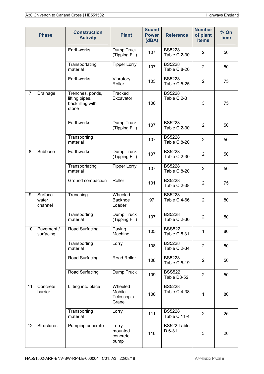| <b>Phase</b>   |                             | <b>Construction</b><br><b>Activity</b>                          | <b>Plant</b>                             | <b>Sound</b><br><b>Power</b><br>(dBA) | <b>Reference</b>              | <b>Number</b><br>of plant<br><b>items</b> | $%$ On<br>time |
|----------------|-----------------------------|-----------------------------------------------------------------|------------------------------------------|---------------------------------------|-------------------------------|-------------------------------------------|----------------|
|                |                             | Earthworks                                                      | Dump Truck<br>(Tipping Fill)             | 107                                   | <b>BS5228</b><br>Table C 2-30 | $\overline{2}$                            | 50             |
|                |                             | Transportating<br>material                                      | <b>Tipper Lorry</b>                      | 107                                   | <b>BS5228</b><br>Table C 8-20 | $\overline{2}$                            | 50             |
|                |                             | Earthworks                                                      | Vibratory<br>Roller                      | 103                                   | <b>BS5228</b><br>Table C 5-25 | $\overline{2}$                            | 75             |
| $\overline{7}$ | Drainage                    | Trenches, ponds,<br>lifting pipes,<br>backfilling with<br>stone | <b>Tracked</b><br>Excavator              | 106                                   | <b>BS5228</b><br>Table C 2-3  | 3                                         | 75             |
|                |                             | Earthworks                                                      | Dump Truck<br>(Tipping Fill)             | 107                                   | <b>BS5228</b><br>Table C 2-30 | $\overline{2}$                            | 50             |
|                |                             | Transporting<br>material                                        |                                          | 107                                   | <b>BS5228</b><br>Table C 8-20 | $\overline{2}$                            | 50             |
| 8              | Subbase                     | Earthworks                                                      | Dump Truck<br>(Tipping Fill)             | 107                                   | <b>BS5228</b><br>Table C 2-30 | $\overline{2}$                            | 50             |
|                |                             | Transportating<br>material                                      | <b>Tipper Lorry</b>                      | 107                                   | <b>BS5228</b><br>Table C 8-20 | $\overline{2}$                            | 50             |
|                |                             | Ground compaction                                               | Roller                                   | 101                                   | <b>BS5228</b><br>Table C 2-38 | $\overline{2}$                            | 75             |
| 9              | Surface<br>water<br>channel | Trenching                                                       | Wheeled<br><b>Backhoe</b><br>Loader      | 97                                    | <b>BS5228</b><br>Table C 4-66 | $\overline{2}$                            | 80             |
|                |                             | Transporting<br>material                                        | Dump Truck<br>(Tipping Fill)             | 107                                   | <b>BS5228</b><br>Table C 2-30 | $\overline{2}$                            | 50             |
| 10             | Pavement /<br>surfacing     | Road Surfacing                                                  | Paving<br>Machine                        | 105                                   | <b>BSS522</b><br>Table C.5.31 | 1                                         | 80             |
|                |                             | Transporting<br>material                                        | Lorry                                    | 108                                   | <b>BS5228</b><br>Table C 2-34 | $\overline{2}$                            | 50             |
|                |                             | Road Surfacing                                                  | Road Roller                              | 108                                   | <b>BS5228</b><br>Table C 5-19 | $\overline{2}$                            | 50             |
|                |                             | Road Surfacing                                                  | Dump Truck                               | 109                                   | <b>BSS522</b><br>Table D3-52  | $\overline{2}$                            | 50             |
| 11             | Concrete<br>barrier         | Lifting into place                                              | Wheeled<br>Mobile<br>Telescopic<br>Crane | 106                                   | <b>BS5228</b><br>Table C 4-38 | 1                                         | 80             |
|                |                             | Transporting<br>material                                        | Lorry                                    | 111                                   | <b>BS5228</b><br>Table C 11-4 | $\overline{2}$                            | 25             |
| 12             | <b>Structures</b>           | Pumping concrete                                                | Lorry<br>mounted<br>concrete<br>pump     | 118                                   | BS522 Table<br>D 6-31         | 3                                         | 20             |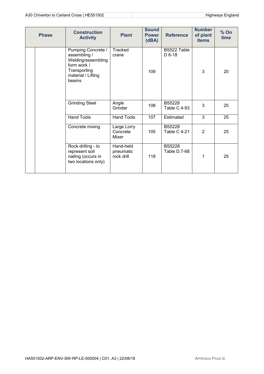| <b>Phase</b> | <b>Construction</b><br><b>Activity</b>                                                                                 | <b>Plant</b>                         | <b>Sound</b><br><b>Power</b><br>(dBA) | <b>Reference</b>                     | <b>Number</b><br>of plant<br><b>items</b> | $%$ On<br>time |
|--------------|------------------------------------------------------------------------------------------------------------------------|--------------------------------------|---------------------------------------|--------------------------------------|-------------------------------------------|----------------|
|              | Pumping Concrete /<br>assembling /<br>Welding/assembling<br>form work /<br>Transporting<br>material / Lifting<br>beams | Tracked<br>crane                     | 109                                   | BS522 Table<br>$D$ 6-18              | 3                                         | 20             |
|              | Grinding Steel                                                                                                         | Angle<br>Grinder                     | 108                                   | <b>BS5228</b><br><b>Table C 4-93</b> | 3                                         | 25             |
|              | <b>Hand Tools</b>                                                                                                      | <b>Hand Tools</b>                    | 107                                   | Estimated                            | $\overline{3}$                            | 25             |
|              | Concrete mixing                                                                                                        | Large Lorry<br>Concrete<br>Mixer     | 105                                   | <b>BS5228</b><br>Table C 4-21        | $\overline{2}$                            | 25             |
|              | Rock drilling - to<br>represent soil<br>nailing (occurs in<br>two locations only)                                      | Hand-held<br>pneumatic<br>rock drill | 118                                   | <b>BS5228</b><br>Table D.7-68        | 1                                         | 25             |